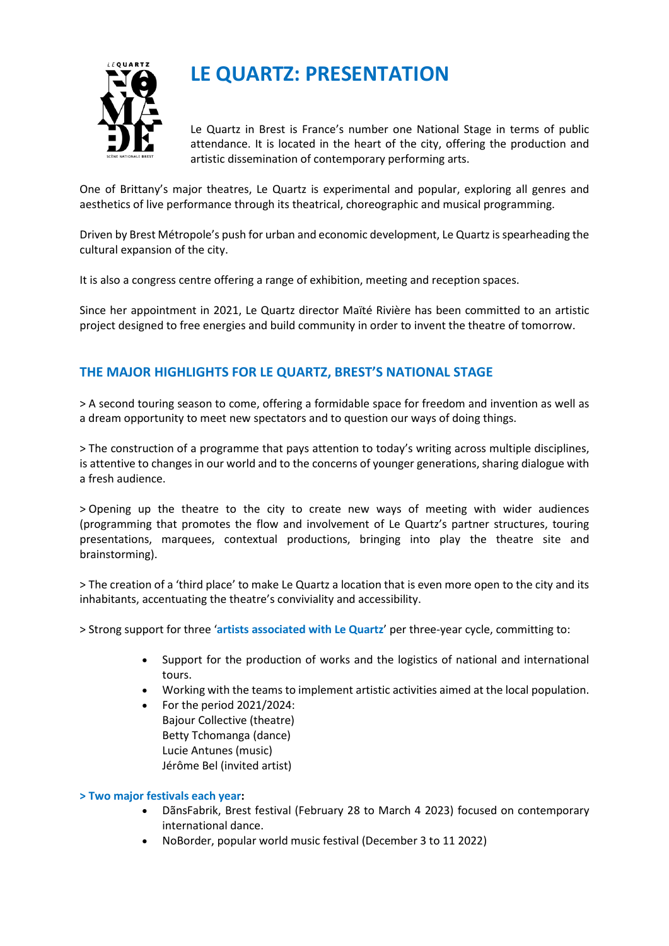

# **LE QUARTZ: PRESENTATION**

Le Quartz in Brest is France's number one National Stage in terms of public attendance. It is located in the heart of the city, offering the production and artistic dissemination of contemporary performing arts.

One of Brittany's major theatres, Le Quartz is experimental and popular, exploring all genres and aesthetics of live performance through its theatrical, choreographic and musical programming.

Driven by Brest Métropole's push for urban and economic development, Le Quartz is spearheading the cultural expansion of the city.

It is also a congress centre offering a range of exhibition, meeting and reception spaces.

Since her appointment in 2021, Le Quartz director Maïté Rivière has been committed to an artistic project designed to free energies and build community in order to invent the theatre of tomorrow.

## **THE MAJOR HIGHLIGHTS FOR LE QUARTZ, BREST'S NATIONAL STAGE**

> A second touring season to come, offering a formidable space for freedom and invention as well as a dream opportunity to meet new spectators and to question our ways of doing things.

> The construction of a programme that pays attention to today's writing across multiple disciplines, is attentive to changes in our world and to the concerns of younger generations, sharing dialogue with a fresh audience.

> Opening up the theatre to the city to create new ways of meeting with wider audiences (programming that promotes the flow and involvement of Le Quartz's partner structures, touring presentations, marquees, contextual productions, bringing into play the theatre site and brainstorming).

> The creation of a 'third place' to make Le Quartz a location that is even more open to the city and its inhabitants, accentuating the theatre's conviviality and accessibility.

> Strong support for three '**artists associated with Le Quartz**' per three-year cycle, committing to:

- Support for the production of works and the logistics of national and international tours.
- Working with the teams to implement artistic activities aimed at the local population.
- For the period 2021/2024: Bajour Collective (theatre) Betty Tchomanga (dance) [Lucie Antunes](https://www.104.fr/artiste/lucie-antunes-biographie.html) (music) [Jérôme Bel](http://www.jeromebel.fr/) (invited artist)

### **> Two major festivals each year:**

- [DãnsFabrik,](https://www.lequartz.com/DansFabrik-612.html) Brest festival (February 28 to March 4 2023) focused on contemporary international dance.
- [NoBorder,](https://www.lequartz.com/NoBorder-8.html) popular world music festival (December 3 to 11 2022)